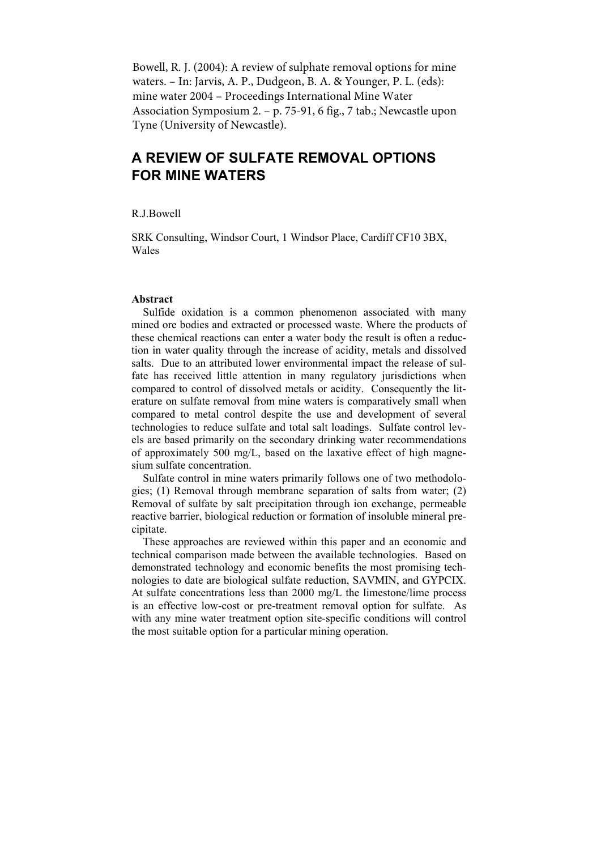Bowell, R. J. (2004): A review of sulphate removal options for mine waters. – In: Jarvis, A. P., Dudgeon, B. A. & Younger, P. L. (eds): mine water 2004 – Proceedings International Mine Water Association Symposium 2. – p. 75-91, 6 fig., 7 tab.; Newcastle upon Tyne (University of Newcastle).

# **A REVIEW OF SULFATE REMOVAL OPTIONS FOR MINE WATERS**

R.J.Bowell

SRK Consulting, Windsor Court, 1 Windsor Place, Cardiff CF10 3BX, Wales

### **Abstract**

Sulfide oxidation is a common phenomenon associated with many mined ore bodies and extracted or processed waste. Where the products of these chemical reactions can enter a water body the result is often a reduction in water quality through the increase of acidity, metals and dissolved salts. Due to an attributed lower environmental impact the release of sulfate has received little attention in many regulatory jurisdictions when compared to control of dissolved metals or acidity. Consequently the literature on sulfate removal from mine waters is comparatively small when compared to metal control despite the use and development of several technologies to reduce sulfate and total salt loadings. Sulfate control levels are based primarily on the secondary drinking water recommendations of approximately 500 mg/L, based on the laxative effect of high magnesium sulfate concentration.

Sulfate control in mine waters primarily follows one of two methodologies; (1) Removal through membrane separation of salts from water; (2) Removal of sulfate by salt precipitation through ion exchange, permeable reactive barrier, biological reduction or formation of insoluble mineral precipitate.

These approaches are reviewed within this paper and an economic and technical comparison made between the available technologies. Based on demonstrated technology and economic benefits the most promising technologies to date are biological sulfate reduction, SAVMIN, and GYPCIX. At sulfate concentrations less than 2000 mg/L the limestone/lime process is an effective low-cost or pre-treatment removal option for sulfate. As with any mine water treatment option site-specific conditions will control the most suitable option for a particular mining operation.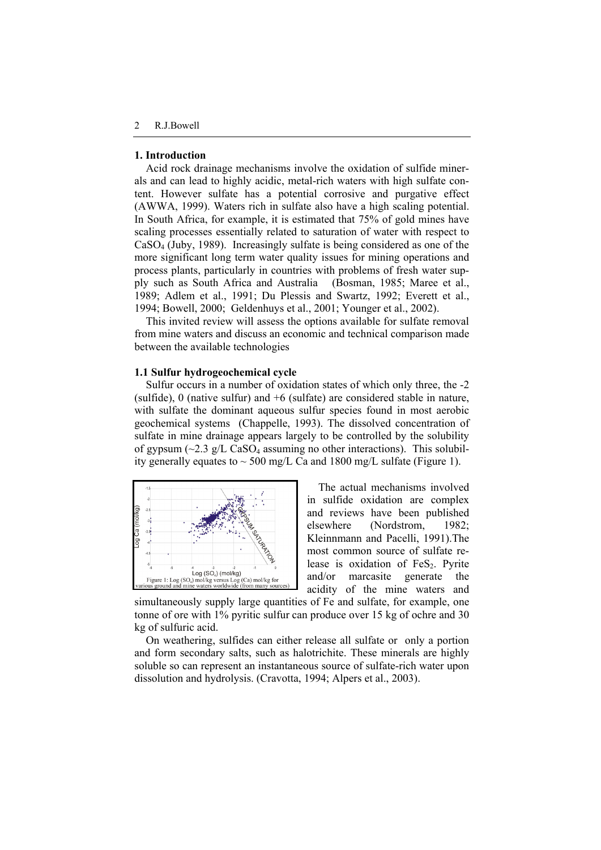### **1. Introduction**

Acid rock drainage mechanisms involve the oxidation of sulfide minerals and can lead to highly acidic, metal-rich waters with high sulfate content. However sulfate has a potential corrosive and purgative effect (AWWA, 1999). Waters rich in sulfate also have a high scaling potential. In South Africa, for example, it is estimated that 75% of gold mines have scaling processes essentially related to saturation of water with respect to CaSO4 (Juby, 1989). Increasingly sulfate is being considered as one of the more significant long term water quality issues for mining operations and process plants, particularly in countries with problems of fresh water supply such as South Africa and Australia (Bosman, 1985; Maree et al., 1989; Adlem et al., 1991; Du Plessis and Swartz, 1992; Everett et al., 1994; Bowell, 2000; Geldenhuys et al., 2001; Younger et al., 2002).

This invited review will assess the options available for sulfate removal from mine waters and discuss an economic and technical comparison made between the available technologies

# **1.1 Sulfur hydrogeochemical cycle**

Sulfur occurs in a number of oxidation states of which only three, the -2 (sulfide), 0 (native sulfur) and +6 (sulfate) are considered stable in nature, with sulfate the dominant aqueous sulfur species found in most aerobic geochemical systems (Chappelle, 1993). The dissolved concentration of sulfate in mine drainage appears largely to be controlled by the solubility of gypsum  $(\sim 2.3 \text{ g/L} \text{ CaSO}_4$  assuming no other interactions). This solubility generally equates to  $\sim$  500 mg/L Ca and 1800 mg/L sulfate (Figure 1).



The actual mechanisms involved in sulfide oxidation are complex and reviews have been published elsewhere (Nordstrom, 1982; Kleinnmann and Pacelli, 1991).The most common source of sulfate release is oxidation of  $FeS<sub>2</sub>$ . Pyrite and/or marcasite generate the acidity of the mine waters and

simultaneously supply large quantities of Fe and sulfate, for example, one tonne of ore with 1% pyritic sulfur can produce over 15 kg of ochre and 30 kg of sulfuric acid.

On weathering, sulfides can either release all sulfate or only a portion and form secondary salts, such as halotrichite. These minerals are highly soluble so can represent an instantaneous source of sulfate-rich water upon dissolution and hydrolysis. (Cravotta, 1994; Alpers et al., 2003).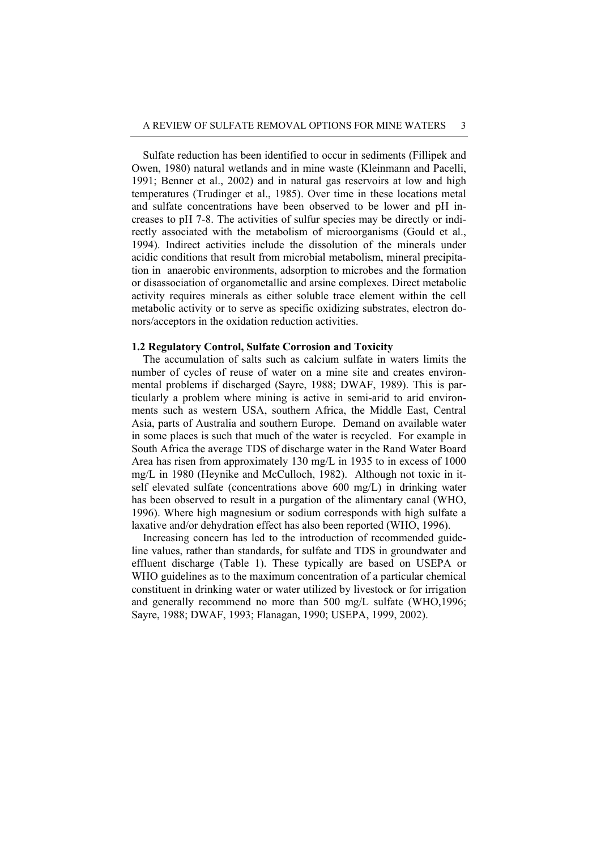Sulfate reduction has been identified to occur in sediments (Fillipek and Owen, 1980) natural wetlands and in mine waste (Kleinmann and Pacelli, 1991; Benner et al., 2002) and in natural gas reservoirs at low and high temperatures (Trudinger et al., 1985). Over time in these locations metal and sulfate concentrations have been observed to be lower and pH increases to pH 7-8. The activities of sulfur species may be directly or indirectly associated with the metabolism of microorganisms (Gould et al., 1994). Indirect activities include the dissolution of the minerals under acidic conditions that result from microbial metabolism, mineral precipitation in anaerobic environments, adsorption to microbes and the formation or disassociation of organometallic and arsine complexes. Direct metabolic activity requires minerals as either soluble trace element within the cell metabolic activity or to serve as specific oxidizing substrates, electron donors/acceptors in the oxidation reduction activities.

# **1.2 Regulatory Control, Sulfate Corrosion and Toxicity**

The accumulation of salts such as calcium sulfate in waters limits the number of cycles of reuse of water on a mine site and creates environmental problems if discharged (Sayre, 1988; DWAF, 1989). This is particularly a problem where mining is active in semi-arid to arid environments such as western USA, southern Africa, the Middle East, Central Asia, parts of Australia and southern Europe. Demand on available water in some places is such that much of the water is recycled. For example in South Africa the average TDS of discharge water in the Rand Water Board Area has risen from approximately 130 mg/L in 1935 to in excess of 1000 mg/L in 1980 (Heynike and McCulloch, 1982). Although not toxic in itself elevated sulfate (concentrations above 600 mg/L) in drinking water has been observed to result in a purgation of the alimentary canal (WHO, 1996). Where high magnesium or sodium corresponds with high sulfate a laxative and/or dehydration effect has also been reported (WHO, 1996).

Increasing concern has led to the introduction of recommended guideline values, rather than standards, for sulfate and TDS in groundwater and effluent discharge (Table 1). These typically are based on USEPA or WHO guidelines as to the maximum concentration of a particular chemical constituent in drinking water or water utilized by livestock or for irrigation and generally recommend no more than 500 mg/L sulfate (WHO,1996; Sayre, 1988; DWAF, 1993; Flanagan, 1990; USEPA, 1999, 2002).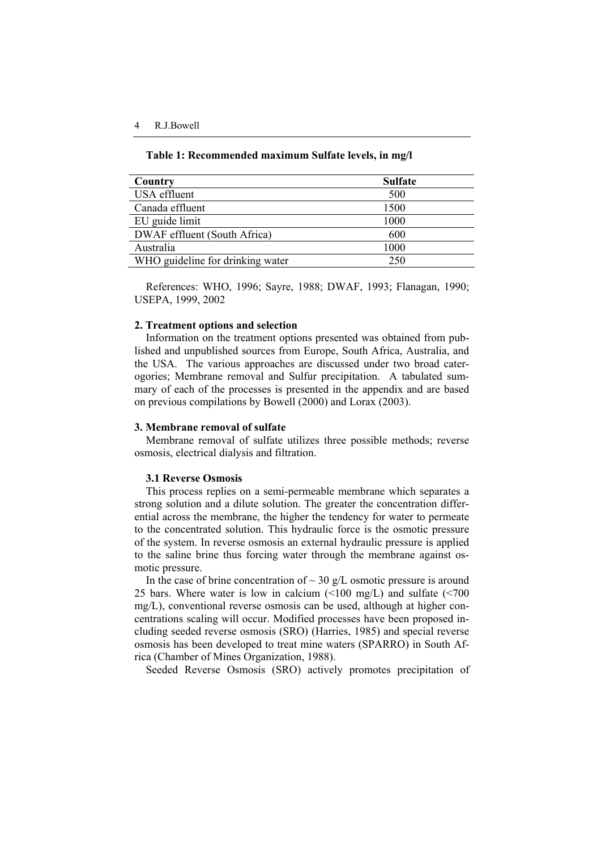#### **Table 1: Recommended maximum Sulfate levels, in mg/l**

| Country                          | <b>Sulfate</b> |
|----------------------------------|----------------|
| USA effluent                     | 500            |
| Canada effluent                  | 1500           |
| EU guide limit                   | 1000           |
| DWAF effluent (South Africa)     | 600            |
| Australia                        | 1000           |
| WHO guideline for drinking water | 250            |

References: WHO, 1996; Sayre, 1988; DWAF, 1993; Flanagan, 1990; USEPA, 1999, 2002

### **2. Treatment options and selection**

Information on the treatment options presented was obtained from published and unpublished sources from Europe, South Africa, Australia, and the USA. The various approaches are discussed under two broad caterogories; Membrane removal and Sulfur precipitation. A tabulated summary of each of the processes is presented in the appendix and are based on previous compilations by Bowell (2000) and Lorax (2003).

### **3. Membrane removal of sulfate**

Membrane removal of sulfate utilizes three possible methods; reverse osmosis, electrical dialysis and filtration.

### **3.1 Reverse Osmosis**

This process replies on a semi-permeable membrane which separates a strong solution and a dilute solution. The greater the concentration differential across the membrane, the higher the tendency for water to permeate to the concentrated solution. This hydraulic force is the osmotic pressure of the system. In reverse osmosis an external hydraulic pressure is applied to the saline brine thus forcing water through the membrane against osmotic pressure.

In the case of brine concentration of  $\sim$  30 g/L osmotic pressure is around 25 bars. Where water is low in calcium (<100 mg/L) and sulfate (<700 mg/L), conventional reverse osmosis can be used, although at higher concentrations scaling will occur. Modified processes have been proposed including seeded reverse osmosis (SRO) (Harries, 1985) and special reverse osmosis has been developed to treat mine waters (SPARRO) in South Africa (Chamber of Mines Organization, 1988).

Seeded Reverse Osmosis (SRO) actively promotes precipitation of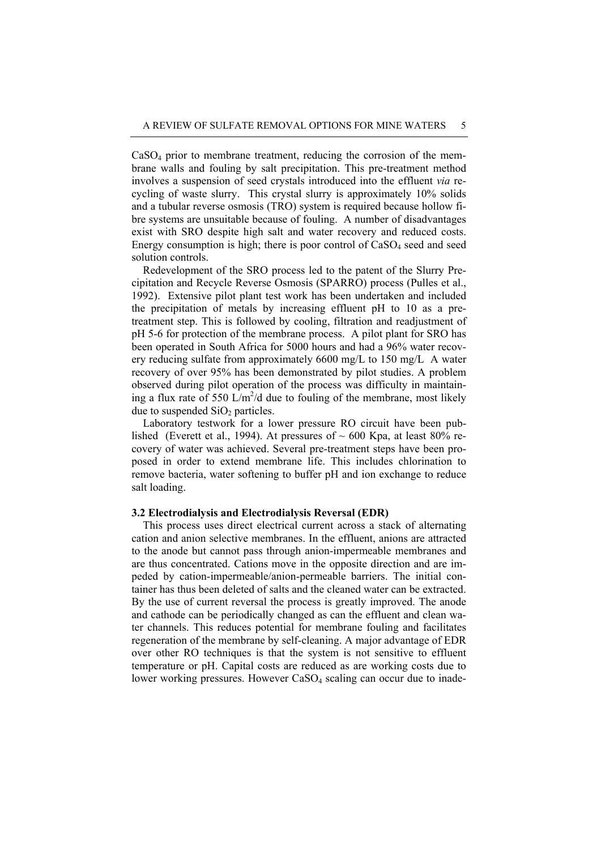$CaSO<sub>4</sub>$  prior to membrane treatment, reducing the corrosion of the membrane walls and fouling by salt precipitation. This pre-treatment method involves a suspension of seed crystals introduced into the effluent *via* recycling of waste slurry. This crystal slurry is approximately 10% solids and a tubular reverse osmosis (TRO) system is required because hollow fibre systems are unsuitable because of fouling. A number of disadvantages exist with SRO despite high salt and water recovery and reduced costs. Energy consumption is high; there is poor control of  $CaSO<sub>4</sub>$  seed and seed solution controls.

Redevelopment of the SRO process led to the patent of the Slurry Precipitation and Recycle Reverse Osmosis (SPARRO) process (Pulles et al., 1992). Extensive pilot plant test work has been undertaken and included the precipitation of metals by increasing effluent pH to 10 as a pretreatment step. This is followed by cooling, filtration and readjustment of pH 5-6 for protection of the membrane process. A pilot plant for SRO has been operated in South Africa for 5000 hours and had a 96% water recovery reducing sulfate from approximately 6600 mg/L to 150 mg/L A water recovery of over 95% has been demonstrated by pilot studies. A problem observed during pilot operation of the process was difficulty in maintaining a flux rate of 550  $\text{L/m}^2/\text{d}$  due to fouling of the membrane, most likely due to suspended  $SiO<sub>2</sub>$  particles.

Laboratory testwork for a lower pressure RO circuit have been published (Everett et al., 1994). At pressures of  $\sim 600$  Kpa, at least 80% recovery of water was achieved. Several pre-treatment steps have been proposed in order to extend membrane life. This includes chlorination to remove bacteria, water softening to buffer pH and ion exchange to reduce salt loading.

### **3.2 Electrodialysis and Electrodialysis Reversal (EDR)**

This process uses direct electrical current across a stack of alternating cation and anion selective membranes. In the effluent, anions are attracted to the anode but cannot pass through anion-impermeable membranes and are thus concentrated. Cations move in the opposite direction and are impeded by cation-impermeable/anion-permeable barriers. The initial container has thus been deleted of salts and the cleaned water can be extracted. By the use of current reversal the process is greatly improved. The anode and cathode can be periodically changed as can the effluent and clean water channels. This reduces potential for membrane fouling and facilitates regeneration of the membrane by self-cleaning. A major advantage of EDR over other RO techniques is that the system is not sensitive to effluent temperature or pH. Capital costs are reduced as are working costs due to lower working pressures. However CaSO<sub>4</sub> scaling can occur due to inade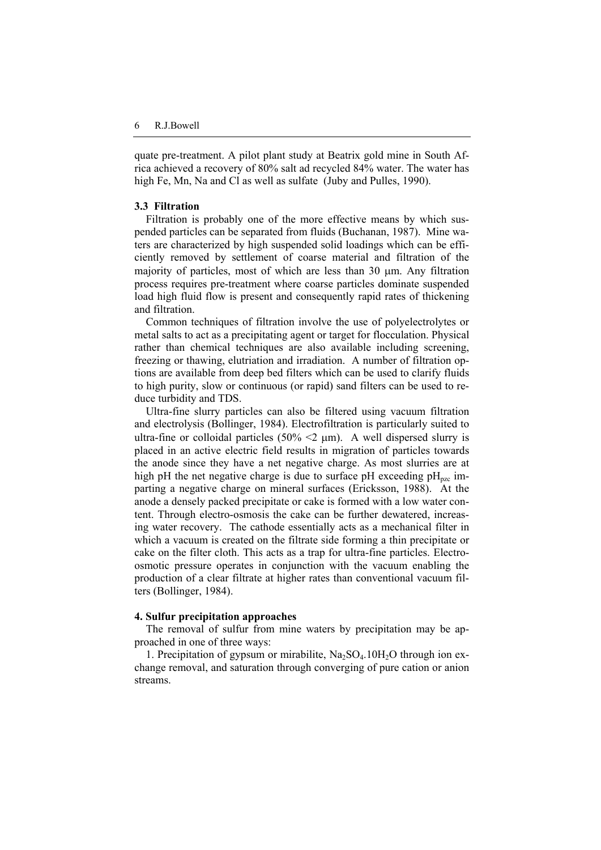quate pre-treatment. A pilot plant study at Beatrix gold mine in South Africa achieved a recovery of 80% salt ad recycled 84% water. The water has high Fe, Mn, Na and Cl as well as sulfate (Juby and Pulles, 1990).

### **3.3 Filtration**

Filtration is probably one of the more effective means by which suspended particles can be separated from fluids (Buchanan, 1987). Mine waters are characterized by high suspended solid loadings which can be efficiently removed by settlement of coarse material and filtration of the majority of particles, most of which are less than 30 μm. Any filtration process requires pre-treatment where coarse particles dominate suspended load high fluid flow is present and consequently rapid rates of thickening and filtration.

Common techniques of filtration involve the use of polyelectrolytes or metal salts to act as a precipitating agent or target for flocculation. Physical rather than chemical techniques are also available including screening, freezing or thawing, elutriation and irradiation. A number of filtration options are available from deep bed filters which can be used to clarify fluids to high purity, slow or continuous (or rapid) sand filters can be used to reduce turbidity and TDS.

Ultra-fine slurry particles can also be filtered using vacuum filtration and electrolysis (Bollinger, 1984). Electrofiltration is particularly suited to ultra-fine or colloidal particles  $(50\% \le 2 \text{ µm})$ . A well dispersed slurry is placed in an active electric field results in migration of particles towards the anode since they have a net negative charge. As most slurries are at high pH the net negative charge is due to surface pH exceeding  $pH_{pzc}$  imparting a negative charge on mineral surfaces (Ericksson, 1988). At the anode a densely packed precipitate or cake is formed with a low water content. Through electro-osmosis the cake can be further dewatered, increasing water recovery. The cathode essentially acts as a mechanical filter in which a vacuum is created on the filtrate side forming a thin precipitate or cake on the filter cloth. This acts as a trap for ultra-fine particles. Electroosmotic pressure operates in conjunction with the vacuum enabling the production of a clear filtrate at higher rates than conventional vacuum filters (Bollinger, 1984).

#### **4. Sulfur precipitation approaches**

The removal of sulfur from mine waters by precipitation may be approached in one of three ways:

1. Precipitation of gypsum or mirabilite,  $Na<sub>2</sub>SO<sub>4</sub>$ .10H<sub>2</sub>O through ion exchange removal, and saturation through converging of pure cation or anion streams.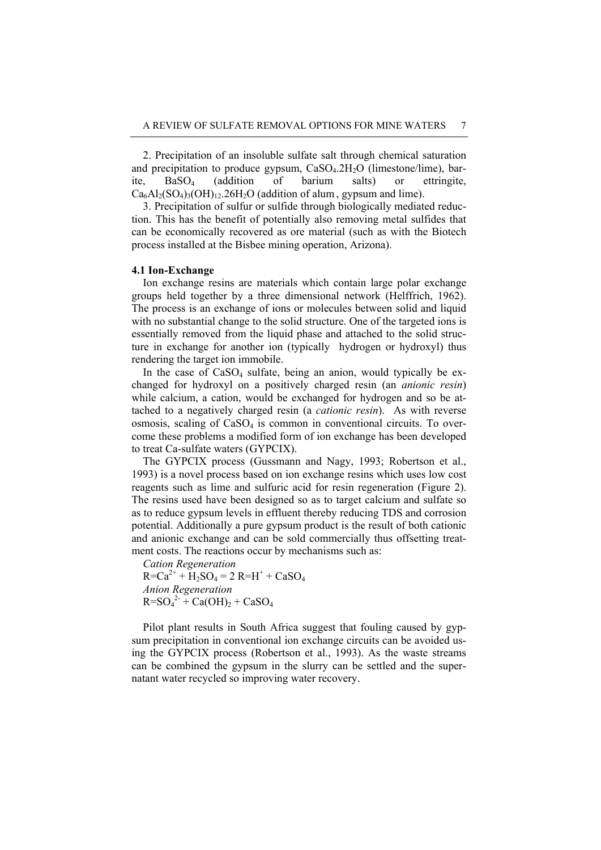2. Precipitation of an insoluble sulfate salt through chemical saturation and precipitation to produce gypsum,  $CaSO<sub>4</sub>$ .2H<sub>2</sub>O (limestone/lime), barite, BaSO4 (addition of barium salts) or ettringite,  $Ca<sub>6</sub>Al<sub>2</sub>(SO<sub>4</sub>)<sub>3</sub>(OH)<sub>12</sub>26H<sub>2</sub>O$  (addition of alum, gypsum and lime).

3. Precipitation of sulfur or sulfide through biologically mediated reduction. This has the benefit of potentially also removing metal sulfides that can be economically recovered as ore material (such as with the Biotech process installed at the Bisbee mining operation, Arizona).

# **4.1 Ion-Exchange**

Ion exchange resins are materials which contain large polar exchange groups held together by a three dimensional network (Helffrich, 1962). The process is an exchange of ions or molecules between solid and liquid with no substantial change to the solid structure. One of the targeted ions is essentially removed from the liquid phase and attached to the solid structure in exchange for another ion (typically hydrogen or hydroxyl) thus rendering the target ion immobile.

In the case of  $CaSO<sub>4</sub>$  sulfate, being an anion, would typically be exchanged for hydroxyl on a positively charged resin (an *anionic resin*) while calcium, a cation, would be exchanged for hydrogen and so be attached to a negatively charged resin (a *cationic resin*). As with reverse osmosis, scaling of  $CaSO<sub>4</sub>$  is common in conventional circuits. To overcome these problems a modified form of ion exchange has been developed to treat Ca-sulfate waters (GYPCIX).

The GYPCIX process (Gussmann and Nagy, 1993; Robertson et al., 1993) is a novel process based on ion exchange resins which uses low cost reagents such as lime and sulfuric acid for resin regeneration (Figure 2). The resins used have been designed so as to target calcium and sulfate so as to reduce gypsum levels in effluent thereby reducing TDS and corrosion potential. Additionally a pure gypsum product is the result of both cationic and anionic exchange and can be sold commercially thus offsetting treatment costs. The reactions occur by mechanisms such as:

*Cation Regeneration*

 $R = Ca^{2+} + H_2SO_4 = 2 R = H^+ + CaSO_4$ *Anion Regeneration*  $R = SO_4^2 + Ca(OH)_2 + CaSO_4$ 

Pilot plant results in South Africa suggest that fouling caused by gypsum precipitation in conventional ion exchange circuits can be avoided using the GYPCIX process (Robertson et al., 1993). As the waste streams can be combined the gypsum in the slurry can be settled and the supernatant water recycled so improving water recovery.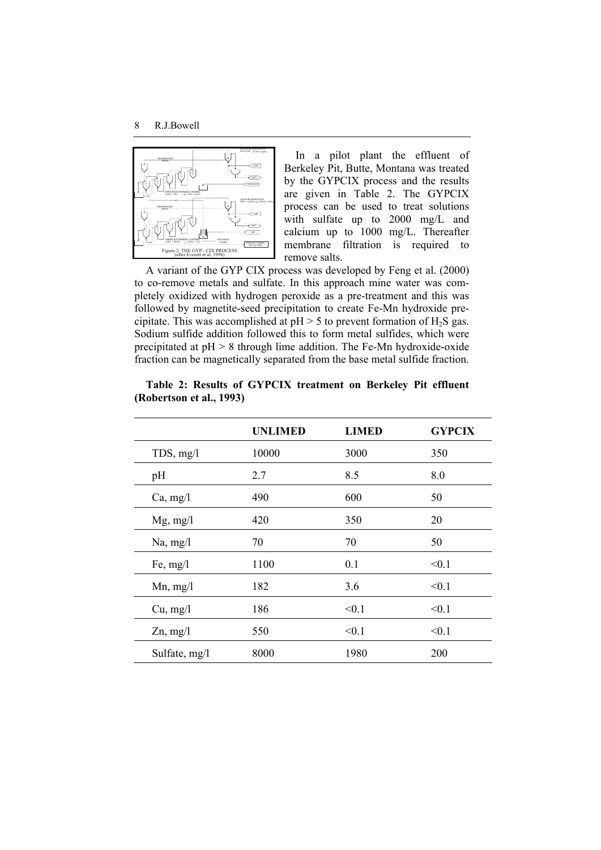

In a pilot plant the effluent of Berkeley Pit, Butte, Montana was treated by the GYPCIX process and the results are given in Table 2. The GYPCIX process can be used to treat solutions with sulfate up to 2000 mg/L and calcium up to 1000 mg/L. Thereafter membrane filtration is required to remove salts.

A variant of the GYP CIX process was developed by Feng et al. (2000) to co-remove metals and sulfate. In this approach mine water was completely oxidized with hydrogen peroxide as a pre-treatment and this was followed by magnetite-seed precipitation to create Fe-Mn hydroxide precipitate. This was accomplished at  $pH > 5$  to prevent formation of  $H_2S$  gas. Sodium sulfide addition followed this to form metal sulfides, which were precipitated at  $pH > 8$  through lime addition. The Fe-Mn hydroxide-oxide fraction can be magnetically separated from the base metal sulfide fraction.

|               | <b>UNLIMED</b> | <b>LIMED</b> | <b>GYPCIX</b> |
|---------------|----------------|--------------|---------------|
| $TDS$ , mg/l  | 10000          | 3000         | 350           |
| pH            | 2.7            | 8.5          | 8.0           |
| Ca, mg/l      | 490            | 600          | 50            |
| $Mg$ , mg/l   | 420            | 350          | 20            |
| Na, mg/l      | 70             | 70           | 50            |
| Fe, $mg/l$    | 1100           | 0.1          | < 0.1         |
| $Mn$ , mg/l   | 182            | 3.6          | < 0.1         |
| Cu, mg/l      | 186            | < 0.1        | < 0.1         |
| $Zn$ , mg/l   | 550            | < 0.1        | < 0.1         |
| Sulfate, mg/l | 8000           | 1980         | 200           |

**Table 2: Results of GYPCIX treatment on Berkeley Pit effluent (Robertson et al., 1993)**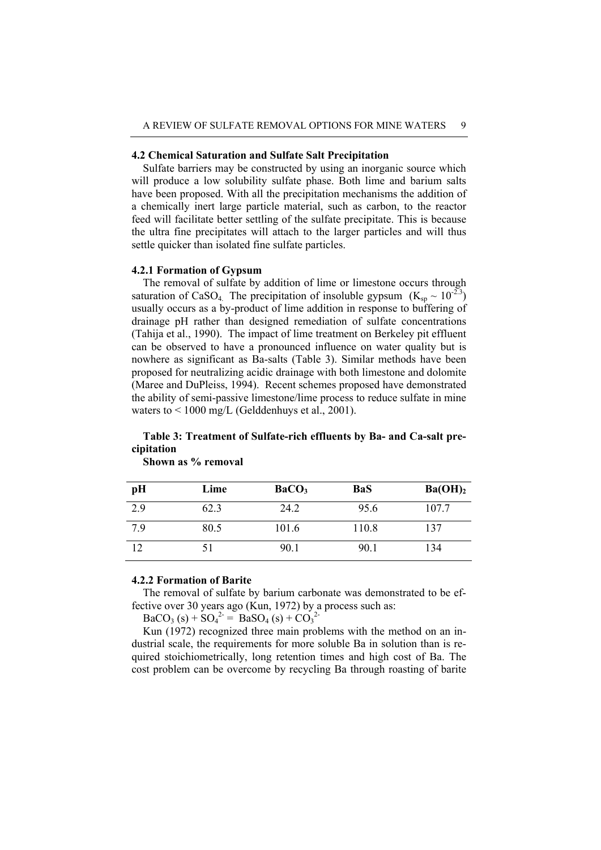### **4.2 Chemical Saturation and Sulfate Salt Precipitation**

Sulfate barriers may be constructed by using an inorganic source which will produce a low solubility sulfate phase. Both lime and barium salts have been proposed. With all the precipitation mechanisms the addition of a chemically inert large particle material, such as carbon, to the reactor feed will facilitate better settling of the sulfate precipitate. This is because the ultra fine precipitates will attach to the larger particles and will thus settle quicker than isolated fine sulfate particles.

# **4.2.1 Formation of Gypsum**

The removal of sulfate by addition of lime or limestone occurs through saturation of CaSO<sub>4.</sub> The precipitation of insoluble gypsum  $(K_{\rm SD} \sim 10^{-2.3})$ usually occurs as a by-product of lime addition in response to buffering of drainage pH rather than designed remediation of sulfate concentrations (Tahija et al., 1990). The impact of lime treatment on Berkeley pit effluent can be observed to have a pronounced influence on water quality but is nowhere as significant as Ba-salts (Table 3). Similar methods have been proposed for neutralizing acidic drainage with both limestone and dolomite (Maree and DuPleiss, 1994). Recent schemes proposed have demonstrated the ability of semi-passive limestone/lime process to reduce sulfate in mine waters to  $\leq 1000$  mg/L (Gelddenhuys et al., 2001).

# **Table 3: Treatment of Sulfate-rich effluents by Ba- and Ca-salt precipitation**

| pH  | Lime | BaCO <sub>3</sub> | <b>BaS</b> | Ba(OH) <sub>2</sub> |
|-----|------|-------------------|------------|---------------------|
| 2.9 | 62.3 | 24.2              | 95.6       | 107.7               |
| 7.9 | 80.5 | 101.6             | 110.8      | 137                 |
| 12  |      | 90.1              | 90.1       | 134                 |

**Shown as % removal** 

### **4.2.2 Formation of Barite**

The removal of sulfate by barium carbonate was demonstrated to be effective over 30 years ago (Kun, 1972) by a process such as:

 $BaCO<sub>3</sub> (s) + SO<sub>4</sub><sup>2-</sup> = BaSO<sub>4</sub> (s) + CO<sub>3</sub><sup>2-</sup>$ 

Kun (1972) recognized three main problems with the method on an industrial scale, the requirements for more soluble Ba in solution than is required stoichiometrically, long retention times and high cost of Ba. The cost problem can be overcome by recycling Ba through roasting of barite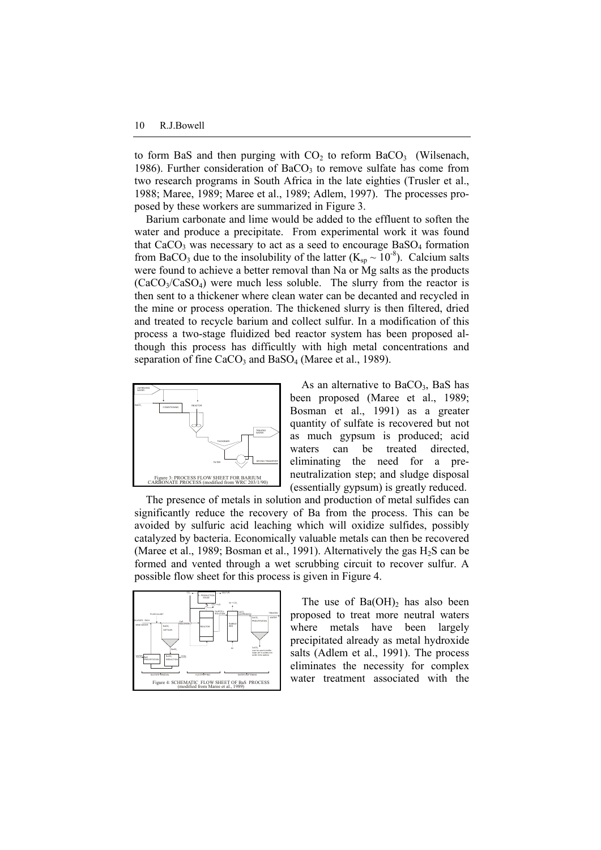to form BaS and then purging with  $CO<sub>2</sub>$  to reform BaCO<sub>3</sub> (Wilsenach, 1986). Further consideration of  $BaCO<sub>3</sub>$  to remove sulfate has come from two research programs in South Africa in the late eighties (Trusler et al., 1988; Maree, 1989; Maree et al., 1989; Adlem, 1997). The processes proposed by these workers are summarized in Figure 3.

Barium carbonate and lime would be added to the effluent to soften the water and produce a precipitate. From experimental work it was found that  $CaCO<sub>3</sub>$  was necessary to act as a seed to encourage BaSO<sub>4</sub> formation from BaCO<sub>3</sub> due to the insolubility of the latter (K<sub>sp</sub>  $\sim 10^{-8}$ ). Calcium salts were found to achieve a better removal than Na or Mg salts as the products  $(CaCO<sub>3</sub>/CaSO<sub>4</sub>)$  were much less soluble. The slurry from the reactor is then sent to a thickener where clean water can be decanted and recycled in the mine or process operation. The thickened slurry is then filtered, dried and treated to recycle barium and collect sulfur. In a modification of this process a two-stage fluidized bed reactor system has been proposed although this process has difficultly with high metal concentrations and separation of fine  $CaCO<sub>3</sub>$  and  $BaSO<sub>4</sub>$  (Maree et al., 1989).



As an alternative to  $BaCO<sub>3</sub>$ , BaS has been proposed (Maree et al., 1989; Bosman et al., 1991) as a greater quantity of sulfate is recovered but not as much gypsum is produced; acid waters can be treated directed, eliminating the need for a preneutralization step; and sludge disposal (essentially gypsum) is greatly reduced.

The presence of metals in solution and production of metal sulfides can significantly reduce the recovery of Ba from the process. This can be avoided by sulfuric acid leaching which will oxidize sulfides, possibly catalyzed by bacteria. Economically valuable metals can then be recovered (Maree et al., 1989; Bosman et al., 1991). Alternatively the gas  $H_2S$  can be formed and vented through a wet scrubbing circuit to recover sulfur. A possible flow sheet for this process is given in Figure 4.



The use of  $Ba(OH)_2$  has also been proposed to treat more neutral waters where metals have been largely precipitated already as metal hydroxide salts (Adlem et al., 1991). The process eliminates the necessity for complex water treatment associated with the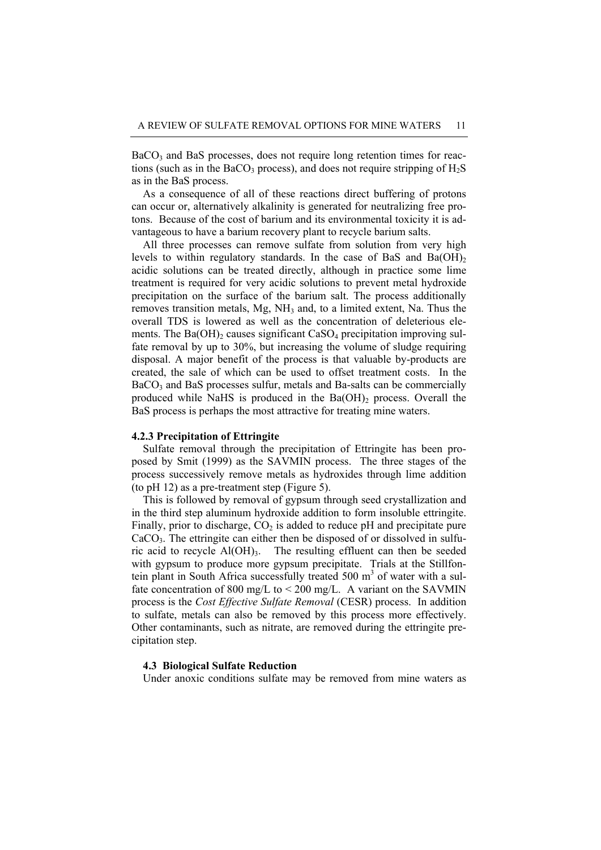$BaCO<sub>3</sub>$  and BaS processes, does not require long retention times for reactions (such as in the BaCO<sub>3</sub> process), and does not require stripping of  $H_2S$ as in the BaS process.

As a consequence of all of these reactions direct buffering of protons can occur or, alternatively alkalinity is generated for neutralizing free protons. Because of the cost of barium and its environmental toxicity it is advantageous to have a barium recovery plant to recycle barium salts.

All three processes can remove sulfate from solution from very high levels to within regulatory standards. In the case of BaS and  $Ba(OH)_{2}$ acidic solutions can be treated directly, although in practice some lime treatment is required for very acidic solutions to prevent metal hydroxide precipitation on the surface of the barium salt. The process additionally removes transition metals,  $Mg$ ,  $NH_3$  and, to a limited extent, Na. Thus the overall TDS is lowered as well as the concentration of deleterious elements. The Ba $(OH)$  causes significant  $CaSO<sub>4</sub>$  precipitation improving sulfate removal by up to 30%, but increasing the volume of sludge requiring disposal. A major benefit of the process is that valuable by-products are created, the sale of which can be used to offset treatment costs. In the BaCO<sub>3</sub> and BaS processes sulfur, metals and Ba-salts can be commercially produced while NaHS is produced in the  $Ba(OH)$ <sub>2</sub> process. Overall the BaS process is perhaps the most attractive for treating mine waters.

### **4.2.3 Precipitation of Ettringite**

Sulfate removal through the precipitation of Ettringite has been proposed by Smit (1999) as the SAVMIN process. The three stages of the process successively remove metals as hydroxides through lime addition (to pH 12) as a pre-treatment step (Figure 5).

This is followed by removal of gypsum through seed crystallization and in the third step aluminum hydroxide addition to form insoluble ettringite. Finally, prior to discharge,  $CO<sub>2</sub>$  is added to reduce pH and precipitate pure  $CaCO<sub>3</sub>$ . The ettringite can either then be disposed of or dissolved in sulfuric acid to recycle  $AI(OH)$ <sub>3</sub>. The resulting effluent can then be seeded with gypsum to produce more gypsum precipitate. Trials at the Stillfontein plant in South Africa successfully treated  $500 \text{ m}^3$  of water with a sulfate concentration of 800 mg/L to  $\leq$  200 mg/L. A variant on the SAVMIN process is the *Cost Effective Sulfate Removal* (CESR) process. In addition to sulfate, metals can also be removed by this process more effectively. Other contaminants, such as nitrate, are removed during the ettringite precipitation step.

#### **4.3 Biological Sulfate Reduction**

Under anoxic conditions sulfate may be removed from mine waters as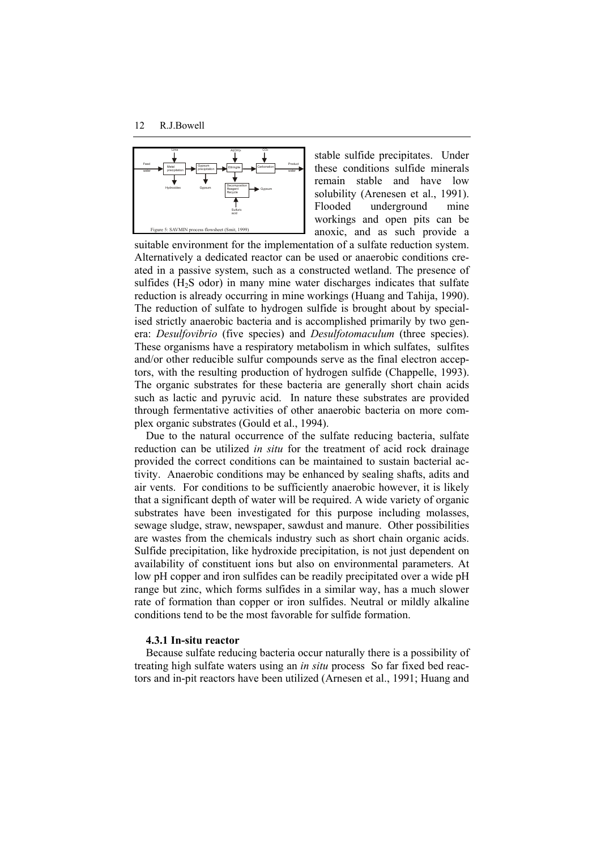

stable sulfide precipitates. Under these conditions sulfide minerals remain stable and have low solubility (Arenesen et al., 1991). Flooded underground mine workings and open pits can be anoxic, and as such provide a

suitable environment for the implementation of a sulfate reduction system. Alternatively a dedicated reactor can be used or anaerobic conditions created in a passive system, such as a constructed wetland. The presence of sulfides  $(H<sub>2</sub>S$  odor) in many mine water discharges indicates that sulfate reduction is already occurring in mine workings (Huang and Tahija, 1990). The reduction of sulfate to hydrogen sulfide is brought about by specialised strictly anaerobic bacteria and is accomplished primarily by two genera: *Desulfovibrio* (five species) and *Desulfotomaculum* (three species). These organisms have a respiratory metabolism in which sulfates, sulfites and/or other reducible sulfur compounds serve as the final electron acceptors, with the resulting production of hydrogen sulfide (Chappelle, 1993). The organic substrates for these bacteria are generally short chain acids such as lactic and pyruvic acid. In nature these substrates are provided through fermentative activities of other anaerobic bacteria on more complex organic substrates (Gould et al., 1994).

Due to the natural occurrence of the sulfate reducing bacteria, sulfate reduction can be utilized *in situ* for the treatment of acid rock drainage provided the correct conditions can be maintained to sustain bacterial activity. Anaerobic conditions may be enhanced by sealing shafts, adits and air vents. For conditions to be sufficiently anaerobic however, it is likely that a significant depth of water will be required. A wide variety of organic substrates have been investigated for this purpose including molasses, sewage sludge, straw, newspaper, sawdust and manure. Other possibilities are wastes from the chemicals industry such as short chain organic acids. Sulfide precipitation, like hydroxide precipitation, is not just dependent on availability of constituent ions but also on environmental parameters. At low pH copper and iron sulfides can be readily precipitated over a wide pH range but zinc, which forms sulfides in a similar way, has a much slower rate of formation than copper or iron sulfides. Neutral or mildly alkaline conditions tend to be the most favorable for sulfide formation.

# **4.3.1 In-situ reactor**

Because sulfate reducing bacteria occur naturally there is a possibility of treating high sulfate waters using an *in situ* process So far fixed bed reactors and in-pit reactors have been utilized (Arnesen et al., 1991; Huang and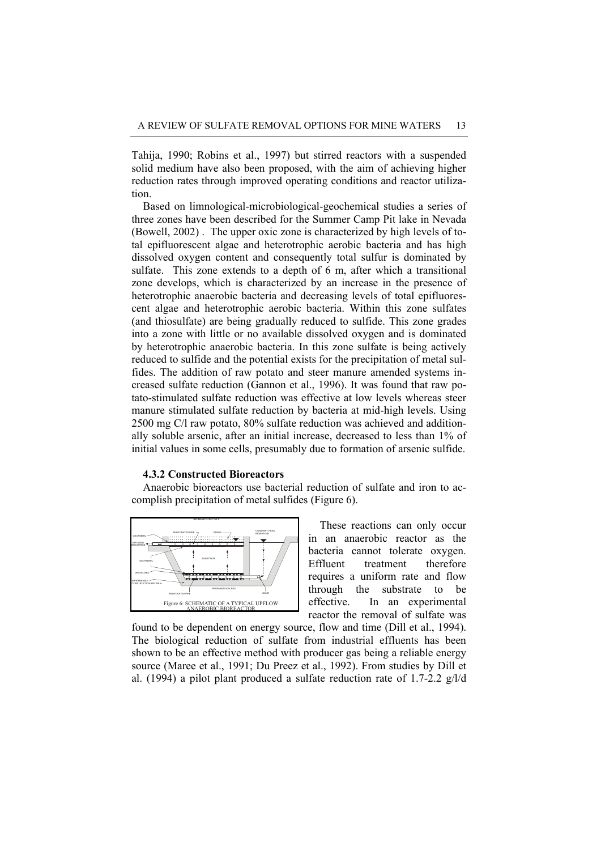Tahija, 1990; Robins et al., 1997) but stirred reactors with a suspended solid medium have also been proposed, with the aim of achieving higher reduction rates through improved operating conditions and reactor utilization.

Based on limnological-microbiological-geochemical studies a series of three zones have been described for the Summer Camp Pit lake in Nevada (Bowell, 2002) . The upper oxic zone is characterized by high levels of total epifluorescent algae and heterotrophic aerobic bacteria and has high dissolved oxygen content and consequently total sulfur is dominated by sulfate. This zone extends to a depth of 6 m, after which a transitional zone develops, which is characterized by an increase in the presence of heterotrophic anaerobic bacteria and decreasing levels of total epifluorescent algae and heterotrophic aerobic bacteria. Within this zone sulfates (and thiosulfate) are being gradually reduced to sulfide. This zone grades into a zone with little or no available dissolved oxygen and is dominated by heterotrophic anaerobic bacteria. In this zone sulfate is being actively reduced to sulfide and the potential exists for the precipitation of metal sulfides. The addition of raw potato and steer manure amended systems increased sulfate reduction (Gannon et al., 1996). It was found that raw potato-stimulated sulfate reduction was effective at low levels whereas steer manure stimulated sulfate reduction by bacteria at mid-high levels. Using 2500 mg C/l raw potato, 80% sulfate reduction was achieved and additionally soluble arsenic, after an initial increase, decreased to less than 1% of initial values in some cells, presumably due to formation of arsenic sulfide.

### **4.3.2 Constructed Bioreactors**

Anaerobic bioreactors use bacterial reduction of sulfate and iron to accomplish precipitation of metal sulfides (Figure 6).



These reactions can only occur in an anaerobic reactor as the bacteria cannot tolerate oxygen. Effluent treatment therefore requires a uniform rate and flow through the substrate to be effective. In an experimental reactor the removal of sulfate was

found to be dependent on energy source, flow and time (Dill et al., 1994). The biological reduction of sulfate from industrial effluents has been shown to be an effective method with producer gas being a reliable energy source (Maree et al., 1991; Du Preez et al., 1992). From studies by Dill et al. (1994) a pilot plant produced a sulfate reduction rate of 1.7-2.2 g/l/d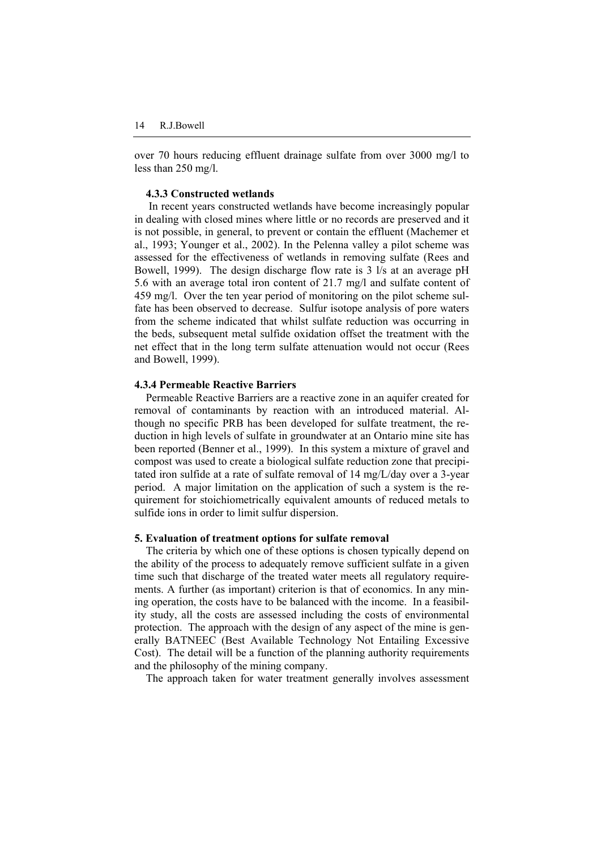over 70 hours reducing effluent drainage sulfate from over 3000 mg/l to less than 250 mg/l.

# **4.3.3 Constructed wetlands**

 In recent years constructed wetlands have become increasingly popular in dealing with closed mines where little or no records are preserved and it is not possible, in general, to prevent or contain the effluent (Machemer et al., 1993; Younger et al., 2002). In the Pelenna valley a pilot scheme was assessed for the effectiveness of wetlands in removing sulfate (Rees and Bowell, 1999). The design discharge flow rate is 3 l/s at an average pH 5.6 with an average total iron content of 21.7 mg/l and sulfate content of 459 mg/l. Over the ten year period of monitoring on the pilot scheme sulfate has been observed to decrease. Sulfur isotope analysis of pore waters from the scheme indicated that whilst sulfate reduction was occurring in the beds, subsequent metal sulfide oxidation offset the treatment with the net effect that in the long term sulfate attenuation would not occur (Rees and Bowell, 1999).

# **4.3.4 Permeable Reactive Barriers**

Permeable Reactive Barriers are a reactive zone in an aquifer created for removal of contaminants by reaction with an introduced material. Although no specific PRB has been developed for sulfate treatment, the reduction in high levels of sulfate in groundwater at an Ontario mine site has been reported (Benner et al., 1999). In this system a mixture of gravel and compost was used to create a biological sulfate reduction zone that precipitated iron sulfide at a rate of sulfate removal of 14 mg/L/day over a 3-year period. A major limitation on the application of such a system is the requirement for stoichiometrically equivalent amounts of reduced metals to sulfide ions in order to limit sulfur dispersion.

### **5. Evaluation of treatment options for sulfate removal**

The criteria by which one of these options is chosen typically depend on the ability of the process to adequately remove sufficient sulfate in a given time such that discharge of the treated water meets all regulatory requirements. A further (as important) criterion is that of economics. In any mining operation, the costs have to be balanced with the income. In a feasibility study, all the costs are assessed including the costs of environmental protection. The approach with the design of any aspect of the mine is generally BATNEEC (Best Available Technology Not Entailing Excessive Cost). The detail will be a function of the planning authority requirements and the philosophy of the mining company.

The approach taken for water treatment generally involves assessment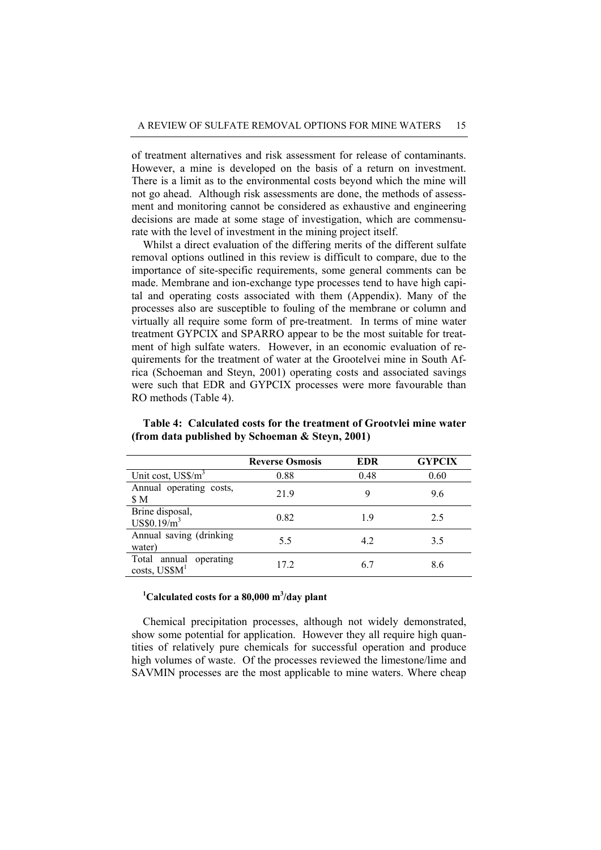of treatment alternatives and risk assessment for release of contaminants. However, a mine is developed on the basis of a return on investment. There is a limit as to the environmental costs beyond which the mine will not go ahead. Although risk assessments are done, the methods of assessment and monitoring cannot be considered as exhaustive and engineering decisions are made at some stage of investigation, which are commensurate with the level of investment in the mining project itself.

Whilst a direct evaluation of the differing merits of the different sulfate removal options outlined in this review is difficult to compare, due to the importance of site-specific requirements, some general comments can be made. Membrane and ion-exchange type processes tend to have high capital and operating costs associated with them (Appendix). Many of the processes also are susceptible to fouling of the membrane or column and virtually all require some form of pre-treatment. In terms of mine water treatment GYPCIX and SPARRO appear to be the most suitable for treatment of high sulfate waters. However, in an economic evaluation of requirements for the treatment of water at the Grootelvei mine in South Africa (Schoeman and Steyn, 2001) operating costs and associated savings were such that EDR and GYPCIX processes were more favourable than RO methods (Table 4).

|                                             | <b>Reverse Osmosis</b> | <b>EDR</b> | <b>GYPCIX</b> |
|---------------------------------------------|------------------------|------------|---------------|
| Unit cost, $US\$ {m}^3                      | 0.88                   | 0.48       | 0.60          |
| Annual operating costs,<br>\$M              | 21.9                   | 9          | 9.6           |
| Brine disposal,<br>US\$0.19/m <sup>3</sup>  | 0.82                   | 19         | 2.5           |
| Annual saving (drinking<br>water)           | 5.5                    | 4.2        | 3.5           |
| Total annual operating<br>$costs$ , $US$M1$ | 17.2                   | 6.7        | 8.6           |

**Table 4: Calculated costs for the treatment of Grootvlei mine water (from data published by Schoeman & Steyn, 2001)** 

# <sup>1</sup>Calculated costs for a 80,000 m<sup>3</sup>/day plant

Chemical precipitation processes, although not widely demonstrated, show some potential for application. However they all require high quantities of relatively pure chemicals for successful operation and produce high volumes of waste. Of the processes reviewed the limestone/lime and SAVMIN processes are the most applicable to mine waters. Where cheap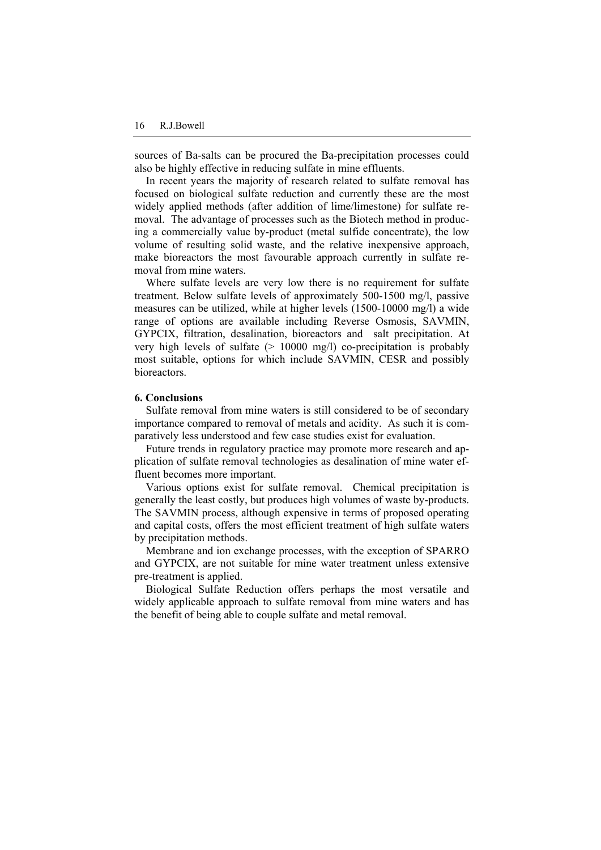sources of Ba-salts can be procured the Ba-precipitation processes could also be highly effective in reducing sulfate in mine effluents.

In recent years the majority of research related to sulfate removal has focused on biological sulfate reduction and currently these are the most widely applied methods (after addition of lime/limestone) for sulfate removal. The advantage of processes such as the Biotech method in producing a commercially value by-product (metal sulfide concentrate), the low volume of resulting solid waste, and the relative inexpensive approach, make bioreactors the most favourable approach currently in sulfate removal from mine waters.

Where sulfate levels are very low there is no requirement for sulfate treatment. Below sulfate levels of approximately 500-1500 mg/l, passive measures can be utilized, while at higher levels (1500-10000 mg/l) a wide range of options are available including Reverse Osmosis, SAVMIN, GYPCIX, filtration, desalination, bioreactors and salt precipitation. At very high levels of sulfate (> 10000 mg/l) co-precipitation is probably most suitable, options for which include SAVMIN, CESR and possibly bioreactors.

### **6. Conclusions**

Sulfate removal from mine waters is still considered to be of secondary importance compared to removal of metals and acidity. As such it is comparatively less understood and few case studies exist for evaluation.

Future trends in regulatory practice may promote more research and application of sulfate removal technologies as desalination of mine water effluent becomes more important.

Various options exist for sulfate removal. Chemical precipitation is generally the least costly, but produces high volumes of waste by-products. The SAVMIN process, although expensive in terms of proposed operating and capital costs, offers the most efficient treatment of high sulfate waters by precipitation methods.

Membrane and ion exchange processes, with the exception of SPARRO and GYPCIX, are not suitable for mine water treatment unless extensive pre-treatment is applied.

Biological Sulfate Reduction offers perhaps the most versatile and widely applicable approach to sulfate removal from mine waters and has the benefit of being able to couple sulfate and metal removal.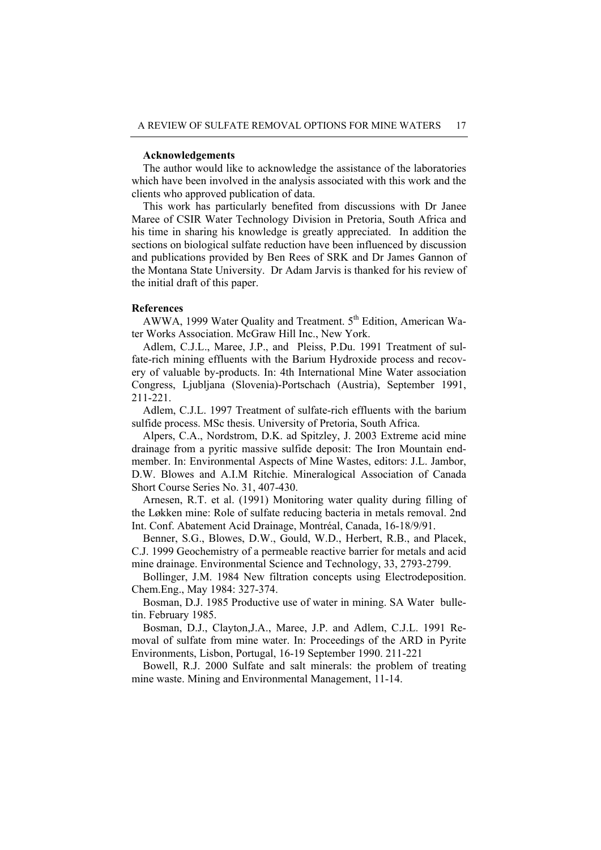### **Acknowledgements**

The author would like to acknowledge the assistance of the laboratories which have been involved in the analysis associated with this work and the clients who approved publication of data.

This work has particularly benefited from discussions with Dr Janee Maree of CSIR Water Technology Division in Pretoria, South Africa and his time in sharing his knowledge is greatly appreciated. In addition the sections on biological sulfate reduction have been influenced by discussion and publications provided by Ben Rees of SRK and Dr James Gannon of the Montana State University. Dr Adam Jarvis is thanked for his review of the initial draft of this paper.

### **References**

AWWA, 1999 Water Quality and Treatment. 5<sup>th</sup> Edition, American Water Works Association. McGraw Hill Inc., New York.

Adlem, C.J.L., Maree, J.P., and Pleiss, P.Du. 1991 Treatment of sulfate-rich mining effluents with the Barium Hydroxide process and recovery of valuable by-products. In: 4th International Mine Water association Congress, Ljubljana (Slovenia)-Portschach (Austria), September 1991, 211-221.

Adlem, C.J.L. 1997 Treatment of sulfate-rich effluents with the barium sulfide process. MSc thesis. University of Pretoria, South Africa.

Alpers, C.A., Nordstrom, D.K. ad Spitzley, J. 2003 Extreme acid mine drainage from a pyritic massive sulfide deposit: The Iron Mountain endmember. In: Environmental Aspects of Mine Wastes, editors: J.L. Jambor, D.W. Blowes and A.I.M Ritchie. Mineralogical Association of Canada Short Course Series No. 31, 407-430.

Arnesen, R.T. et al. (1991) Monitoring water quality during filling of the Løkken mine: Role of sulfate reducing bacteria in metals removal. 2nd Int. Conf. Abatement Acid Drainage, Montréal, Canada, 16-18/9/91.

Benner, S.G., Blowes, D.W., Gould, W.D., Herbert, R.B., and Placek, C.J. 1999 Geochemistry of a permeable reactive barrier for metals and acid mine drainage. Environmental Science and Technology, 33, 2793-2799.

Bollinger, J.M. 1984 New filtration concepts using Electrodeposition. Chem.Eng., May 1984: 327-374.

Bosman, D.J. 1985 Productive use of water in mining. SA Water bulletin. February 1985.

Bosman, D.J., Clayton,J.A., Maree, J.P. and Adlem, C.J.L. 1991 Removal of sulfate from mine water. In: Proceedings of the ARD in Pyrite Environments, Lisbon, Portugal, 16-19 September 1990. 211-221

Bowell, R.J. 2000 Sulfate and salt minerals: the problem of treating mine waste. Mining and Environmental Management, 11-14.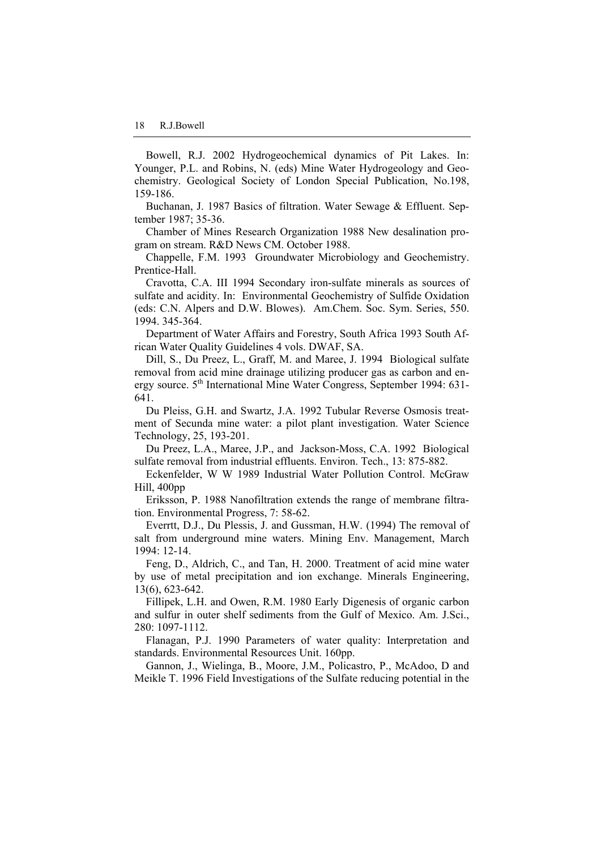Bowell, R.J. 2002 Hydrogeochemical dynamics of Pit Lakes. In: Younger, P.L. and Robins, N. (eds) Mine Water Hydrogeology and Geochemistry. Geological Society of London Special Publication, No.198, 159-186.

Buchanan, J. 1987 Basics of filtration. Water Sewage & Effluent. September 1987; 35-36.

Chamber of Mines Research Organization 1988 New desalination program on stream. R&D News CM. October 1988.

Chappelle, F.M. 1993 Groundwater Microbiology and Geochemistry. Prentice-Hall.

Cravotta, C.A. III 1994 Secondary iron-sulfate minerals as sources of sulfate and acidity. In: Environmental Geochemistry of Sulfide Oxidation (eds: C.N. Alpers and D.W. Blowes). Am.Chem. Soc. Sym. Series, 550. 1994. 345-364.

Department of Water Affairs and Forestry, South Africa 1993 South African Water Quality Guidelines 4 vols. DWAF, SA.

Dill, S., Du Preez, L., Graff, M. and Maree, J. 1994 Biological sulfate removal from acid mine drainage utilizing producer gas as carbon and energy source. 5<sup>th</sup> International Mine Water Congress, September 1994: 631-641.

Du Pleiss, G.H. and Swartz, J.A. 1992 Tubular Reverse Osmosis treatment of Secunda mine water: a pilot plant investigation. Water Science Technology, 25, 193-201.

Du Preez, L.A., Maree, J.P., and Jackson-Moss, C.A. 1992 Biological sulfate removal from industrial effluents. Environ. Tech., 13: 875-882.

Eckenfelder, W W 1989 Industrial Water Pollution Control. McGraw Hill, 400pp

Eriksson, P. 1988 Nanofiltration extends the range of membrane filtration. Environmental Progress, 7: 58-62.

Everrtt, D.J., Du Plessis, J. and Gussman, H.W. (1994) The removal of salt from underground mine waters. Mining Env. Management, March 1994: 12-14.

Feng, D., Aldrich, C., and Tan, H. 2000. Treatment of acid mine water by use of metal precipitation and ion exchange. Minerals Engineering, 13(6), 623-642.

Fillipek, L.H. and Owen, R.M. 1980 Early Digenesis of organic carbon and sulfur in outer shelf sediments from the Gulf of Mexico. Am. J.Sci., 280: 1097-1112.

Flanagan, P.J. 1990 Parameters of water quality: Interpretation and standards. Environmental Resources Unit. 160pp.

Gannon, J., Wielinga, B., Moore, J.M., Policastro, P., McAdoo, D and Meikle T. 1996 Field Investigations of the Sulfate reducing potential in the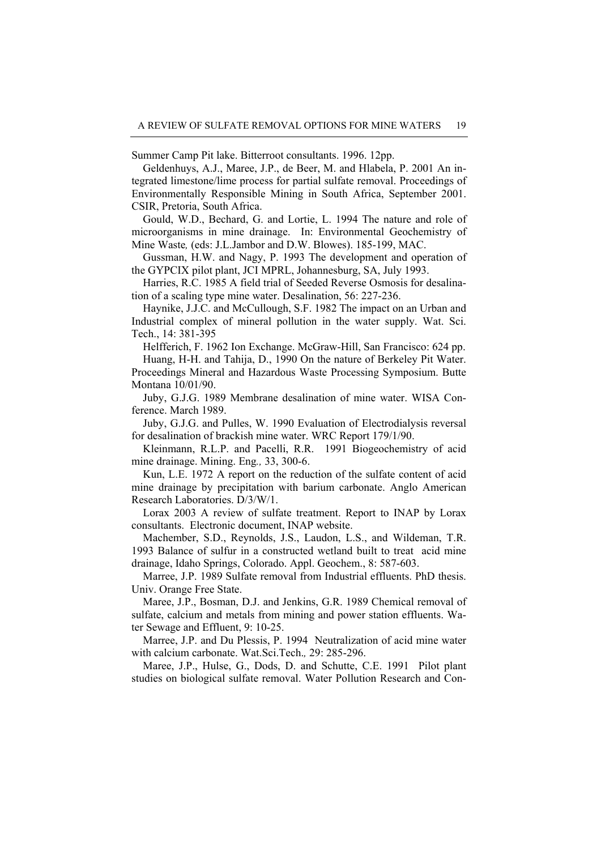Summer Camp Pit lake. Bitterroot consultants. 1996. 12pp.

Geldenhuys, A.J., Maree, J.P., de Beer, M. and Hlabela, P. 2001 An integrated limestone/lime process for partial sulfate removal. Proceedings of Environmentally Responsible Mining in South Africa, September 2001. CSIR, Pretoria, South Africa.

Gould, W.D., Bechard, G. and Lortie, L. 1994 The nature and role of microorganisms in mine drainage. In: Environmental Geochemistry of Mine Waste*,* (eds: J.L.Jambor and D.W. Blowes). 185-199, MAC.

Gussman, H.W. and Nagy, P. 1993 The development and operation of the GYPCIX pilot plant, JCI MPRL, Johannesburg, SA, July 1993.

Harries, R.C. 1985 A field trial of Seeded Reverse Osmosis for desalination of a scaling type mine water. Desalination, 56: 227-236.

Haynike, J.J.C. and McCullough, S.F. 1982 The impact on an Urban and Industrial complex of mineral pollution in the water supply. Wat. Sci. Tech., 14: 381-395

Helfferich, F. 1962 Ion Exchange. McGraw-Hill, San Francisco: 624 pp.

Huang, H-H. and Tahija, D., 1990 On the nature of Berkeley Pit Water. Proceedings Mineral and Hazardous Waste Processing Symposium. Butte Montana 10/01/90.

Juby, G.J.G. 1989 Membrane desalination of mine water. WISA Conference. March 1989.

Juby, G.J.G. and Pulles, W. 1990 Evaluation of Electrodialysis reversal for desalination of brackish mine water. WRC Report 179/1/90.

Kleinmann, R.L.P. and Pacelli, R.R. 1991 Biogeochemistry of acid mine drainage. Mining. Eng*.,* 33, 300-6.

Kun, L.E. 1972 A report on the reduction of the sulfate content of acid mine drainage by precipitation with barium carbonate. Anglo American Research Laboratories. D/3/W/1.

Lorax 2003 A review of sulfate treatment. Report to INAP by Lorax consultants. Electronic document, INAP website.

Machember, S.D., Reynolds, J.S., Laudon, L.S., and Wildeman, T.R. 1993 Balance of sulfur in a constructed wetland built to treat acid mine drainage, Idaho Springs, Colorado. Appl. Geochem., 8: 587-603.

Marree, J.P. 1989 Sulfate removal from Industrial effluents. PhD thesis. Univ. Orange Free State.

Maree, J.P., Bosman, D.J. and Jenkins, G.R. 1989 Chemical removal of sulfate, calcium and metals from mining and power station effluents. Water Sewage and Effluent, 9: 10-25.

Marree, J.P. and Du Plessis, P. 1994 Neutralization of acid mine water with calcium carbonate. Wat.Sci.Tech.*,* 29: 285-296.

Maree, J.P., Hulse, G., Dods, D. and Schutte, C.E. 1991 Pilot plant studies on biological sulfate removal. Water Pollution Research and Con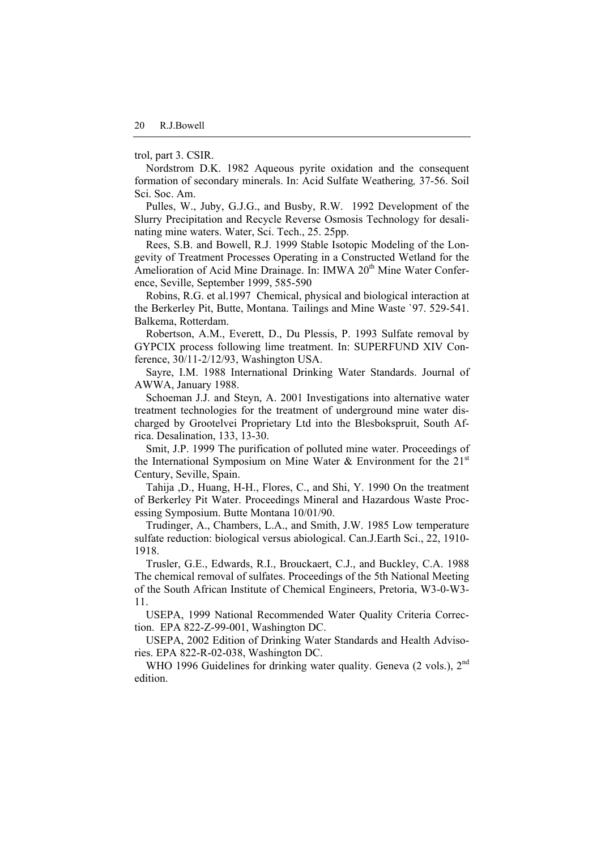trol, part 3. CSIR.

Nordstrom D.K. 1982 Aqueous pyrite oxidation and the consequent formation of secondary minerals. In: Acid Sulfate Weathering*,* 37-56. Soil Sci. Soc. Am.

Pulles, W., Juby, G.J.G., and Busby, R.W. 1992 Development of the Slurry Precipitation and Recycle Reverse Osmosis Technology for desalinating mine waters. Water, Sci. Tech., 25. 25pp.

Rees, S.B. and Bowell, R.J. 1999 Stable Isotopic Modeling of the Longevity of Treatment Processes Operating in a Constructed Wetland for the Amelioration of Acid Mine Drainage. In: IMWA 20<sup>th</sup> Mine Water Conference, Seville, September 1999, 585-590

Robins, R.G. et al.1997 Chemical, physical and biological interaction at the Berkerley Pit, Butte, Montana. Tailings and Mine Waste `97. 529-541. Balkema, Rotterdam.

Robertson, A.M., Everett, D., Du Plessis, P. 1993 Sulfate removal by GYPCIX process following lime treatment. In: SUPERFUND XIV Conference, 30/11-2/12/93, Washington USA.

Sayre, I.M. 1988 International Drinking Water Standards. Journal of AWWA, January 1988.

Schoeman J.J. and Steyn, A. 2001 Investigations into alternative water treatment technologies for the treatment of underground mine water discharged by Grootelvei Proprietary Ltd into the Blesbokspruit, South Africa. Desalination, 133, 13-30.

Smit, J.P. 1999 The purification of polluted mine water. Proceedings of the International Symposium on Mine Water & Environment for the  $21<sup>st</sup>$ Century, Seville, Spain.

Tahija ,D., Huang, H-H., Flores, C., and Shi, Y. 1990 On the treatment of Berkerley Pit Water. Proceedings Mineral and Hazardous Waste Processing Symposium. Butte Montana 10/01/90.

Trudinger, A., Chambers, L.A., and Smith, J.W. 1985 Low temperature sulfate reduction: biological versus abiological. Can.J.Earth Sci., 22, 1910- 1918.

Trusler, G.E., Edwards, R.I., Brouckaert, C.J., and Buckley, C.A. 1988 The chemical removal of sulfates. Proceedings of the 5th National Meeting of the South African Institute of Chemical Engineers, Pretoria, W3-0-W3- 11.

USEPA, 1999 National Recommended Water Quality Criteria Correction. EPA 822-Z-99-001, Washington DC.

USEPA, 2002 Edition of Drinking Water Standards and Health Advisories. EPA 822-R-02-038, Washington DC.

WHO 1996 Guidelines for drinking water quality. Geneva (2 vols.), 2<sup>nd</sup> edition.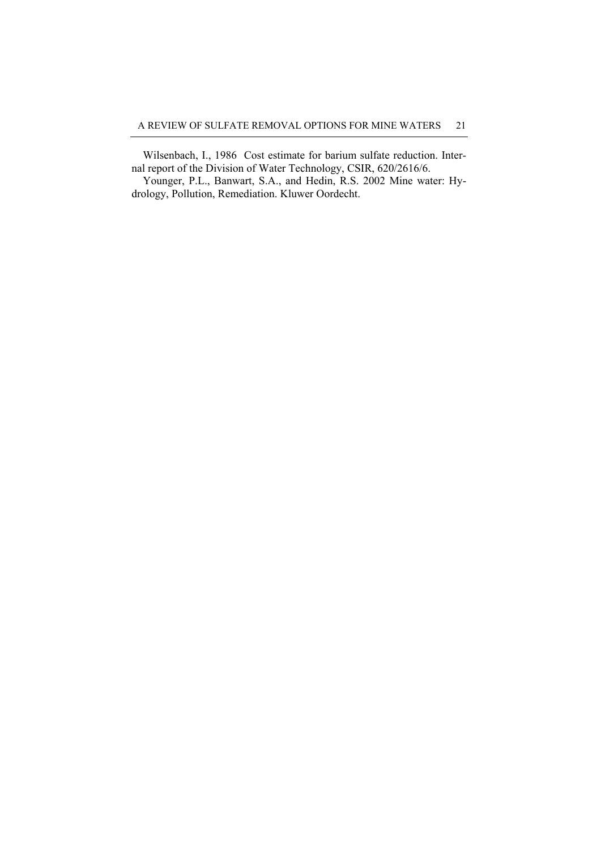Wilsenbach, I., 1986 Cost estimate for barium sulfate reduction. Internal report of the Division of Water Technology, CSIR, 620/2616/6.

Younger, P.L., Banwart, S.A., and Hedin, R.S. 2002 Mine water: Hydrology, Pollution, Remediation. Kluwer Oordecht.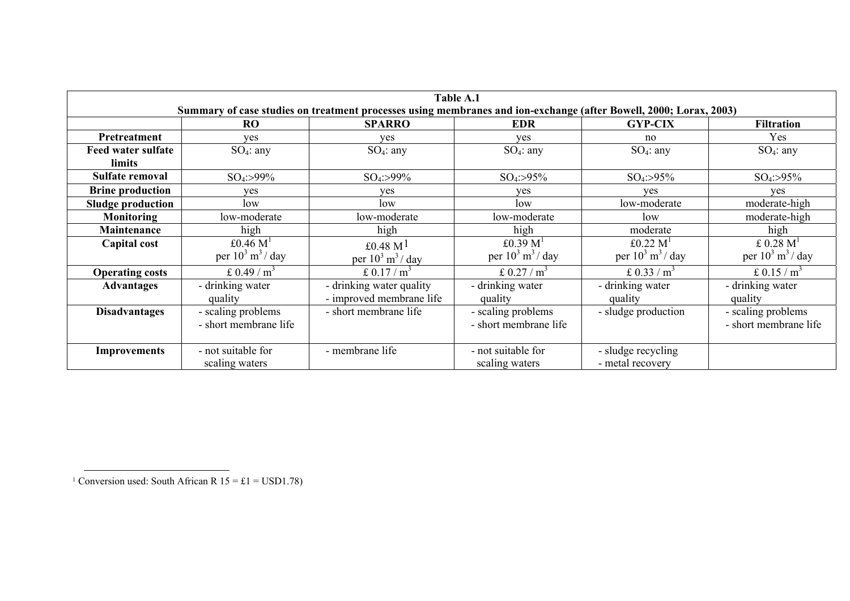| Table A.1                                                                                                         |                                |                                |                                |                                |                                |
|-------------------------------------------------------------------------------------------------------------------|--------------------------------|--------------------------------|--------------------------------|--------------------------------|--------------------------------|
| Summary of case studies on treatment processes using membranes and ion-exchange (after Bowell, 2000; Lorax, 2003) |                                |                                |                                |                                |                                |
|                                                                                                                   | <b>RO</b>                      | <b>SPARRO</b>                  | <b>EDR</b>                     | <b>GYP-CIX</b>                 | <b>Filtration</b>              |
| Pretreatment                                                                                                      | ves                            | ves                            | ves                            | no                             | Yes                            |
| Feed water sulfate                                                                                                | $SO_4$ : any                   | $SO_4$ : any                   | $SO_4$ : any                   | $SO_4$ : any                   | $SO_4$ : any                   |
| limits                                                                                                            |                                |                                |                                |                                |                                |
| Sulfate removal                                                                                                   | $SO_4$ :>99%                   | $SO_4$ :>99%                   | $SO_4$ :>95%                   | $SO_4$ :>95%                   | $SO_4$ :>95%                   |
| <b>Brine production</b>                                                                                           | ves                            | ves                            | ves                            | ves                            | ves                            |
| <b>Sludge production</b>                                                                                          | low                            | low                            | low                            | low-moderate                   | moderate-high                  |
| <b>Monitoring</b>                                                                                                 | low-moderate                   | low-moderate                   | low-moderate                   | low                            | moderate-high                  |
| Maintenance                                                                                                       | high                           | high                           | high                           | moderate                       | high                           |
| Capital cost                                                                                                      | £0.46 $M1$                     | £0.48 $M1$                     | £0.39 $M1$                     | £0.22 $M1$                     | £ $0.28$ M <sup>1</sup>        |
|                                                                                                                   | per $10^3$ m <sup>3</sup> /day | per $10^3$ m <sup>3</sup> /day | per $10^3$ m <sup>3</sup> /day | per $10^3$ m <sup>3</sup> /day | per $10^3$ m <sup>3</sup> /day |
| <b>Operating costs</b>                                                                                            | £ 0.49 / $m^3$                 | £ $0.17/m^3$                   | £ $0.27/m^3$                   | £ 0.33 / $m^3$                 | £ 0.15 / $m^3$                 |
| <b>Advantages</b>                                                                                                 | - drinking water               | - drinking water quality       | - drinking water               | - drinking water               | - drinking water               |
|                                                                                                                   | quality                        | - improved membrane life       | quality                        | quality                        | quality                        |
| <b>Disadvantages</b>                                                                                              | - scaling problems             | - short membrane life          | - scaling problems             | - sludge production            | - scaling problems             |
|                                                                                                                   | - short membrane life          |                                | - short membrane life          |                                | - short membrane life          |
|                                                                                                                   |                                |                                |                                |                                |                                |
| <b>Improvements</b>                                                                                               | - not suitable for             | - membrane life                | - not suitable for             | - sludge recycling             |                                |
|                                                                                                                   | scaling waters                 |                                | scaling waters                 | - metal recovery               |                                |

<span id="page-21-0"></span><sup>1</sup> Conversion used: South African R  $15 = £1 = USD1.78$ )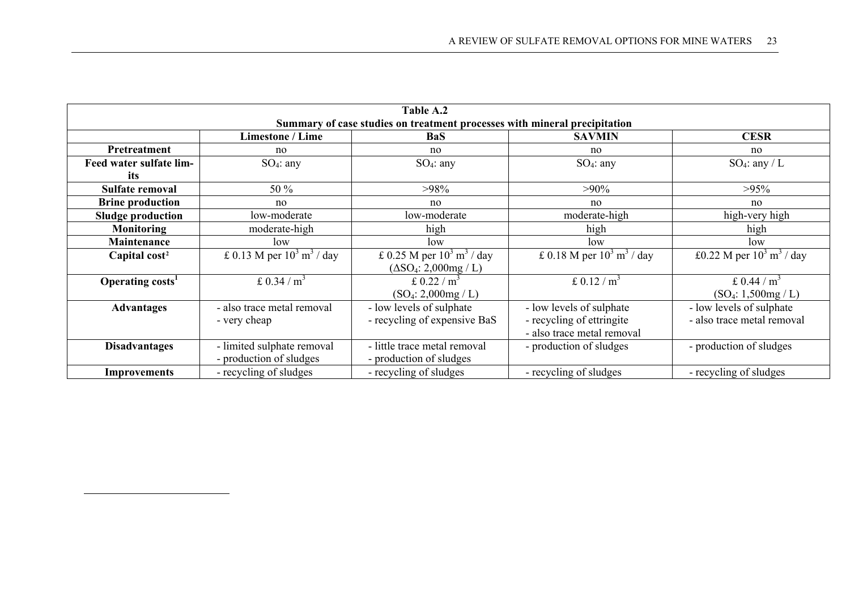<span id="page-22-0"></span>

| Table A.2                                                                 |                                         |                                          |                                          |                                         |  |  |
|---------------------------------------------------------------------------|-----------------------------------------|------------------------------------------|------------------------------------------|-----------------------------------------|--|--|
| Summary of case studies on treatment processes with mineral precipitation |                                         |                                          |                                          |                                         |  |  |
| <b>Limestone / Lime</b><br><b>CESR</b><br><b>SAVMIN</b><br><b>BaS</b>     |                                         |                                          |                                          |                                         |  |  |
| Pretreatment                                                              | no                                      | no                                       | no                                       | no                                      |  |  |
| Feed water sulfate lim-                                                   | $SO_4$ : any                            | $SO_4$ : any                             | $SO_4$ : any                             | $SO_4$ : any / L                        |  |  |
| its                                                                       |                                         |                                          |                                          |                                         |  |  |
| Sulfate removal                                                           | 50 %                                    | $>98\%$                                  | $>90\%$                                  | $>95\%$                                 |  |  |
| <b>Brine production</b>                                                   | no                                      | no                                       | no                                       | no                                      |  |  |
| <b>Sludge production</b>                                                  | low-moderate                            | low-moderate                             | moderate-high                            | high-very high                          |  |  |
| Monitoring                                                                | moderate-high                           | high                                     | high                                     | high                                    |  |  |
| Maintenance                                                               | low                                     | low                                      | low                                      | low                                     |  |  |
| Capital cost <sup>2</sup>                                                 | £ 0.13 M per $10^3$ m <sup>3</sup> /day | £ 0.25 M per $10^3$ m <sup>3</sup> / day | £ 0.18 M per $10^3$ m <sup>3</sup> / day | £0.22 M per $10^3$ m <sup>3</sup> / day |  |  |
|                                                                           |                                         | $(\Delta SO_4: 2,000mg / L)$             |                                          |                                         |  |  |
| Operating costs <sup>1</sup>                                              | £ $0.34/m^3$                            | £ $0.22/m^3$                             | £ 0.12 / $m^3$                           | £ 0.44 / $m^3$                          |  |  |
|                                                                           |                                         | $(SO_4: 2,000mg / L)$                    |                                          | $(SO_4: 1,500mg / L)$                   |  |  |
| <b>Advantages</b>                                                         | - also trace metal removal              | - low levels of sulphate                 | - low levels of sulphate                 | - low levels of sulphate                |  |  |
|                                                                           | - very cheap                            | - recycling of expensive BaS             | - recycling of ettringite                | - also trace metal removal              |  |  |
|                                                                           |                                         |                                          | - also trace metal removal               |                                         |  |  |
| <b>Disadvantages</b>                                                      | - limited sulphate removal              | - little trace metal removal             | - production of sludges                  | - production of sludges                 |  |  |
|                                                                           | - production of sludges                 | - production of sludges                  |                                          |                                         |  |  |
| <b>Improvements</b>                                                       | - recycling of sludges                  | - recycling of sludges                   | - recycling of sludges                   | - recycling of sludges                  |  |  |